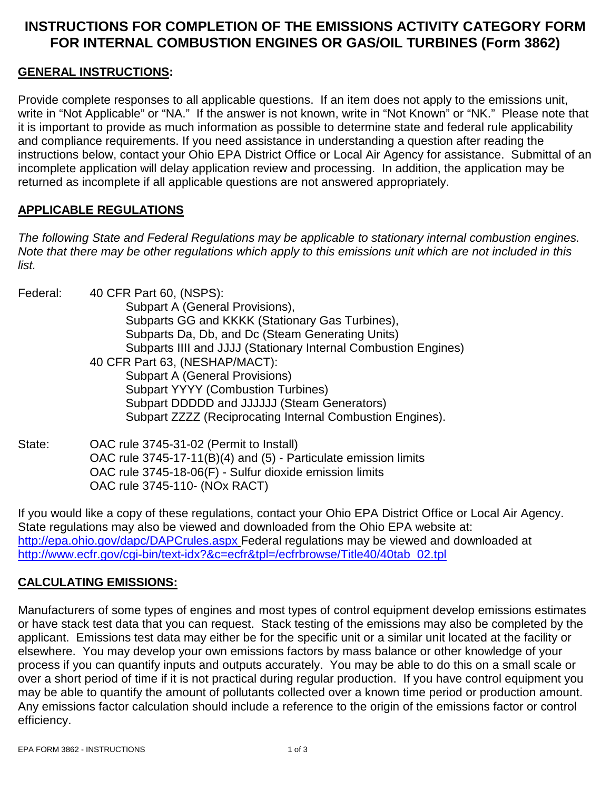# **INSTRUCTIONS FOR COMPLETION OF THE EMISSIONS ACTIVITY CATEGORY FORM FOR INTERNAL COMBUSTION ENGINES OR GAS/OIL TURBINES (Form 3862)**

#### **GENERAL INSTRUCTIONS:**

Provide complete responses to all applicable questions. If an item does not apply to the emissions unit, write in "Not Applicable" or "NA." If the answer is not known, write in "Not Known" or "NK." Please note that it is important to provide as much information as possible to determine state and federal rule applicability and compliance requirements. If you need assistance in understanding a question after reading the instructions below, contact your Ohio EPA District Office or Local Air Agency for assistance. Submittal of an incomplete application will delay application review and processing. In addition, the application may be returned as incomplete if all applicable questions are not answered appropriately.

#### **APPLICABLE REGULATIONS**

*The following State and Federal Regulations may be applicable to stationary internal combustion engines. Note that there may be other regulations which apply to this emissions unit which are not included in this list.*

| Federal: | 40 CFR Part 60, (NSPS):                                         |
|----------|-----------------------------------------------------------------|
|          | Subpart A (General Provisions),                                 |
|          | Subparts GG and KKKK (Stationary Gas Turbines),                 |
|          | Subparts Da, Db, and Dc (Steam Generating Units)                |
|          | Subparts IIII and JJJJ (Stationary Internal Combustion Engines) |
|          | 40 CFR Part 63, (NESHAP/MACT):                                  |
|          | <b>Subpart A (General Provisions)</b>                           |
|          | <b>Subpart YYYY (Combustion Turbines)</b>                       |
|          | Subpart DDDDD and JJJJJJ (Steam Generators)                     |
|          | Subpart ZZZZ (Reciprocating Internal Combustion Engines).       |

State: OAC rule 3745-31-02 (Permit to Install) OAC rule 3745-17-11(B)(4) and (5) - Particulate emission limits OAC rule 3745-18-06(F) - Sulfur dioxide emission limits OAC rule 3745-110- (NOx RACT)

If you would like a copy of these regulations, contact your Ohio EPA District Office or Local Air Agency. State regulations may also be viewed and downloaded from the Ohio EPA website at: <http://epa.ohio.gov/dapc/DAPCrules.aspx> Federal regulations may be viewed and downloaded at [http://www.ecfr.gov/cgi-bin/text-idx?&c=ecfr&tpl=/ecfrbrowse/Title40/40tab\\_02.tpl](http://www.ecfr.gov/cgi-bin/text-idx?&c=ecfr&tpl=/ecfrbrowse/Title40/40tab_02.tpl)

### **CALCULATING EMISSIONS:**

Manufacturers of some types of engines and most types of control equipment develop emissions estimates or have stack test data that you can request. Stack testing of the emissions may also be completed by the applicant. Emissions test data may either be for the specific unit or a similar unit located at the facility or elsewhere. You may develop your own emissions factors by mass balance or other knowledge of your process if you can quantify inputs and outputs accurately. You may be able to do this on a small scale or over a short period of time if it is not practical during regular production. If you have control equipment you may be able to quantify the amount of pollutants collected over a known time period or production amount. Any emissions factor calculation should include a reference to the origin of the emissions factor or control efficiency.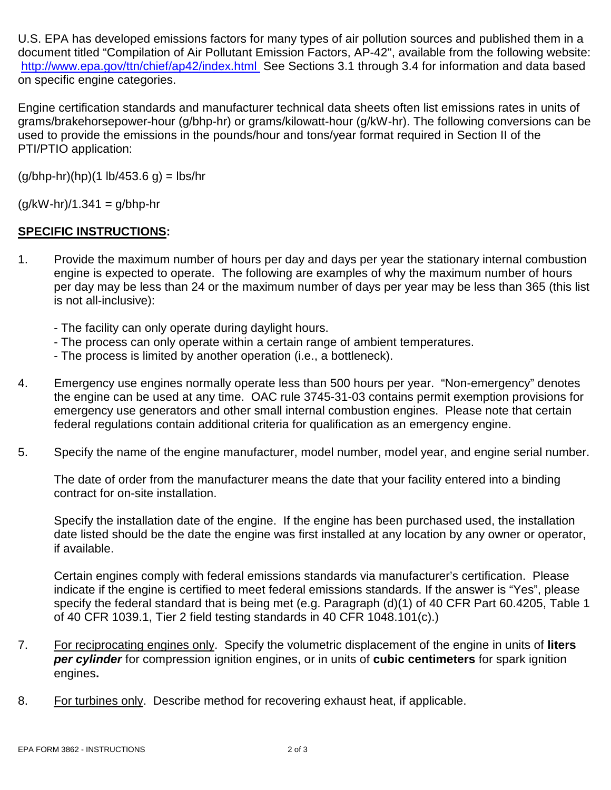U.S. EPA has developed emissions factors for many types of air pollution sources and published them in a document titled "Compilation of Air Pollutant Emission Factors, AP-42", available from the following website: <http://www.epa.gov/ttn/chief/ap42/index.html>See Sections 3.1 through 3.4 for information and data based on specific engine categories.

Engine certification standards and manufacturer technical data sheets often list emissions rates in units of grams/brakehorsepower-hour (g/bhp-hr) or grams/kilowatt-hour (g/kW-hr). The following conversions can be used to provide the emissions in the pounds/hour and tons/year format required in Section II of the PTI/PTIO application:

 $(q/bhp-hr)(hp)(1 lb/453.6 q) = lbs/hr$ 

 $(g/kW-hr)/1.341 = g/bhp-hr$ 

### **SPECIFIC INSTRUCTIONS:**

- 1. Provide the maximum number of hours per day and days per year the stationary internal combustion engine is expected to operate. The following are examples of why the maximum number of hours per day may be less than 24 or the maximum number of days per year may be less than 365 (this list is not all-inclusive):
	- The facility can only operate during daylight hours.
	- The process can only operate within a certain range of ambient temperatures.
	- The process is limited by another operation (i.e., a bottleneck).
- 4. Emergency use engines normally operate less than 500 hours per year. "Non-emergency" denotes the engine can be used at any time. OAC rule 3745-31-03 contains permit exemption provisions for emergency use generators and other small internal combustion engines. Please note that certain federal regulations contain additional criteria for qualification as an emergency engine.
- 5. Specify the name of the engine manufacturer, model number, model year, and engine serial number.

The date of order from the manufacturer means the date that your facility entered into a binding contract for on-site installation.

Specify the installation date of the engine. If the engine has been purchased used, the installation date listed should be the date the engine was first installed at any location by any owner or operator, if available.

Certain engines comply with federal emissions standards via manufacturer's certification. Please indicate if the engine is certified to meet federal emissions standards. If the answer is "Yes", please specify the federal standard that is being met (e.g. Paragraph (d)(1) of 40 CFR Part 60.4205, Table 1 of 40 CFR 1039.1, Tier 2 field testing standards in 40 CFR 1048.101(c).)

- 7. For reciprocating engines only. Specify the volumetric displacement of the engine in units of **liters** *per cylinder* for compression ignition engines, or in units of **cubic centimeters** for spark ignition engines**.**
- 8. For turbines only. Describe method for recovering exhaust heat, if applicable.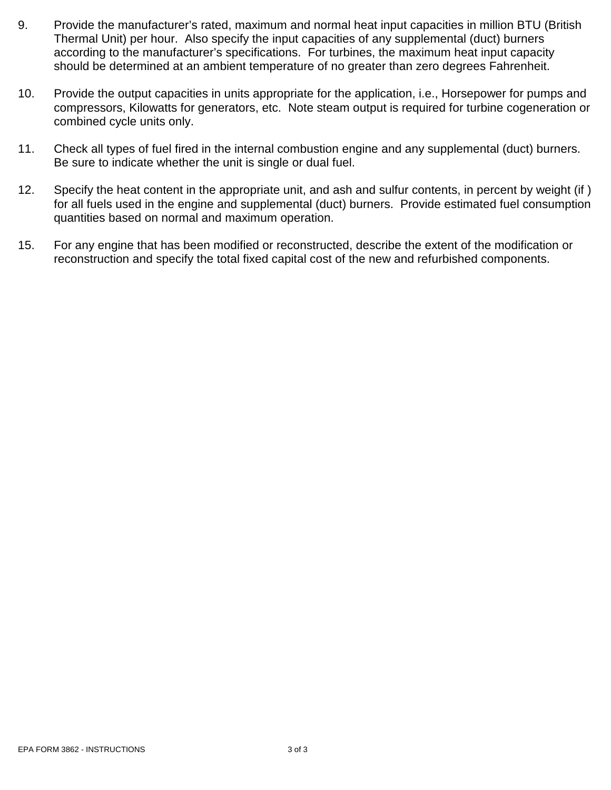- 9. Provide the manufacturer's rated, maximum and normal heat input capacities in million BTU (British Thermal Unit) per hour. Also specify the input capacities of any supplemental (duct) burners according to the manufacturer's specifications. For turbines, the maximum heat input capacity should be determined at an ambient temperature of no greater than zero degrees Fahrenheit.
- 10. Provide the output capacities in units appropriate for the application, i.e., Horsepower for pumps and compressors, Kilowatts for generators, etc. Note steam output is required for turbine cogeneration or combined cycle units only.
- 11. Check all types of fuel fired in the internal combustion engine and any supplemental (duct) burners. Be sure to indicate whether the unit is single or dual fuel.
- 12. Specify the heat content in the appropriate unit, and ash and sulfur contents, in percent by weight (if ) for all fuels used in the engine and supplemental (duct) burners. Provide estimated fuel consumption quantities based on normal and maximum operation.
- 15. For any engine that has been modified or reconstructed, describe the extent of the modification or reconstruction and specify the total fixed capital cost of the new and refurbished components.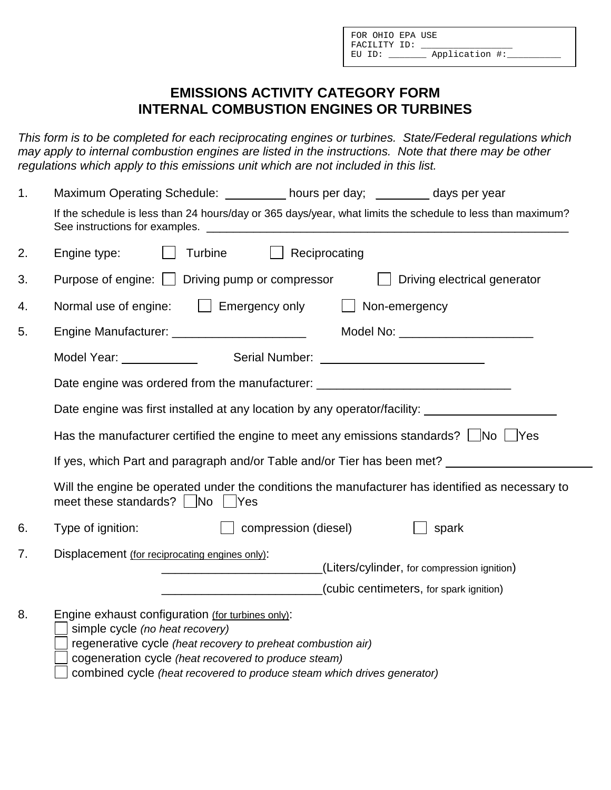# **EMISSIONS ACTIVITY CATEGORY FORM INTERNAL COMBUSTION ENGINES OR TURBINES**

*This form is to be completed for each reciprocating engines or turbines. State/Federal regulations which may apply to internal combustion engines are listed in the instructions. Note that there may be other regulations which apply to this emissions unit which are not included in this list.*

| 1 <sub>1</sub>                                                                                  | Maximum Operating Schedule: __________ hours per day; _______ days per year                                                                                                                                                                                                             |  |  |  |  |  |  |
|-------------------------------------------------------------------------------------------------|-----------------------------------------------------------------------------------------------------------------------------------------------------------------------------------------------------------------------------------------------------------------------------------------|--|--|--|--|--|--|
|                                                                                                 | If the schedule is less than 24 hours/day or 365 days/year, what limits the schedule to less than maximum?                                                                                                                                                                              |  |  |  |  |  |  |
| 2.                                                                                              | Turbine<br>$\Box$ Reciprocating<br>Engine type:                                                                                                                                                                                                                                         |  |  |  |  |  |  |
| 3.                                                                                              | Purpose of engine: Driving pump or compressor<br>Driving electrical generator                                                                                                                                                                                                           |  |  |  |  |  |  |
| 4.                                                                                              | Normal use of engine:   Emergency only<br>Non-emergency                                                                                                                                                                                                                                 |  |  |  |  |  |  |
| 5.                                                                                              | Model No: ____________________________<br>Engine Manufacturer: _________________________                                                                                                                                                                                                |  |  |  |  |  |  |
|                                                                                                 |                                                                                                                                                                                                                                                                                         |  |  |  |  |  |  |
|                                                                                                 | Date engine was ordered from the manufacturer: _________________________________                                                                                                                                                                                                        |  |  |  |  |  |  |
|                                                                                                 | Date engine was first installed at any location by any operator/facility: __________________________                                                                                                                                                                                    |  |  |  |  |  |  |
| Has the manufacturer certified the engine to meet any emissions standards? $\Box$ No $\Box$ Yes |                                                                                                                                                                                                                                                                                         |  |  |  |  |  |  |
|                                                                                                 | If yes, which Part and paragraph and/or Table and/or Tier has been met?                                                                                                                                                                                                                 |  |  |  |  |  |  |
|                                                                                                 | Will the engine be operated under the conditions the manufacturer has identified as necessary to<br>meet these standards? $\Box$ No $\Box$ Yes                                                                                                                                          |  |  |  |  |  |  |
| 6.                                                                                              | Type of ignition:<br>$\Box$ compression (diesel)<br>spark                                                                                                                                                                                                                               |  |  |  |  |  |  |
| 7.                                                                                              | Displacement (for reciprocating engines only):<br>(Liters/cylinder, for compression ignition)<br>(cubic centimeters, for spark ignition)                                                                                                                                                |  |  |  |  |  |  |
| 8.                                                                                              | Engine exhaust configuration (for turbines only):<br>simple cycle (no heat recovery)<br>regenerative cycle (heat recovery to preheat combustion air)<br>cogeneration cycle (heat recovered to produce steam)<br>combined cycle (heat recovered to produce steam which drives generator) |  |  |  |  |  |  |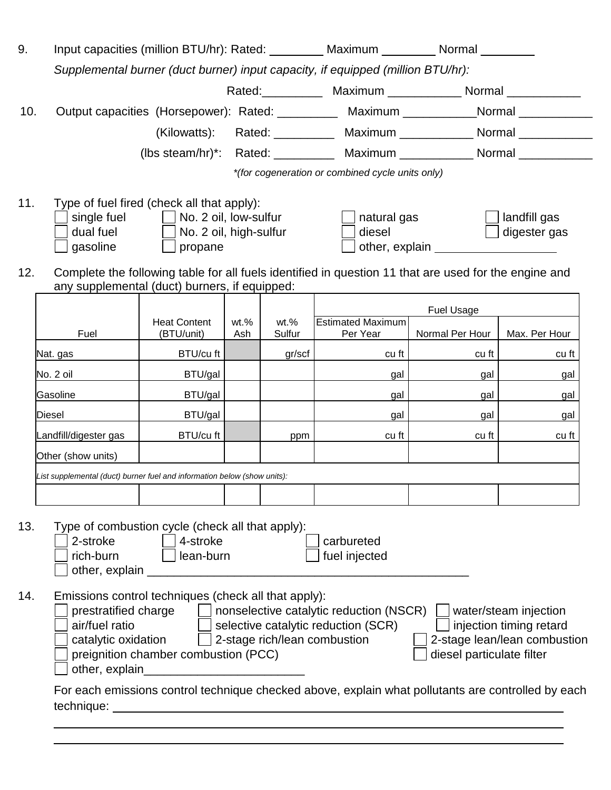| 9.         | Input capacities (million BTU/hr): Rated: _________ Maximum ________ Normal ________                                                                                                                                                                                                                                                         |                                                                                                 |         |         |                                                                                                                                               |                                                                                                                                                                                                                               |                                                                                  |
|------------|----------------------------------------------------------------------------------------------------------------------------------------------------------------------------------------------------------------------------------------------------------------------------------------------------------------------------------------------|-------------------------------------------------------------------------------------------------|---------|---------|-----------------------------------------------------------------------------------------------------------------------------------------------|-------------------------------------------------------------------------------------------------------------------------------------------------------------------------------------------------------------------------------|----------------------------------------------------------------------------------|
|            |                                                                                                                                                                                                                                                                                                                                              |                                                                                                 |         |         | Supplemental burner (duct burner) input capacity, if equipped (million BTU/hr):                                                               |                                                                                                                                                                                                                               |                                                                                  |
|            |                                                                                                                                                                                                                                                                                                                                              |                                                                                                 |         |         |                                                                                                                                               | Rated: _____________ Maximum ______________ Normal _____________                                                                                                                                                              |                                                                                  |
| 10.        |                                                                                                                                                                                                                                                                                                                                              |                                                                                                 |         |         | Output capacities (Horsepower): Rated: __________ Maximum __________Normal __________                                                         |                                                                                                                                                                                                                               |                                                                                  |
|            |                                                                                                                                                                                                                                                                                                                                              |                                                                                                 |         |         | (Kilowatts): Rated: __________ Maximum ____________ Normal ____________                                                                       |                                                                                                                                                                                                                               |                                                                                  |
|            |                                                                                                                                                                                                                                                                                                                                              |                                                                                                 |         |         | (lbs steam/hr)*: Rated: __________ Maximum _____________ Normal ________________                                                              |                                                                                                                                                                                                                               |                                                                                  |
|            |                                                                                                                                                                                                                                                                                                                                              |                                                                                                 |         |         | *(for cogeneration or combined cycle units only)                                                                                              |                                                                                                                                                                                                                               |                                                                                  |
| 11.<br>12. | Type of fuel fired (check all that apply):<br>$gasoline$ $\Box$                                                                                                                                                                                                                                                                              | single fuel $\Box$ No. 2 oil, low-sulfur<br>dual fuel <u>No</u> . 2 oil, high-sulfur<br>propane |         |         | natural gas<br>diesel<br>Complete the following table for all fuels identified in question 11 that are used for the engine and                | other, explain example and the state of the state of the state of the state of the state of the state of the state of the state of the state of the state of the state of the state of the state of the state of the state of | landfill gas<br>digester gas                                                     |
|            | any supplemental (duct) burners, if equipped:                                                                                                                                                                                                                                                                                                |                                                                                                 |         |         |                                                                                                                                               |                                                                                                                                                                                                                               |                                                                                  |
|            |                                                                                                                                                                                                                                                                                                                                              | <b>Heat Content</b>                                                                             | $wt.$ % | $wt.$ % | <b>Estimated Maximum</b>                                                                                                                      | <b>Fuel Usage</b>                                                                                                                                                                                                             |                                                                                  |
|            | Fuel                                                                                                                                                                                                                                                                                                                                         | (BTU/unit)                                                                                      | Ash     | Sulfur  | Per Year                                                                                                                                      | Normal Per Hour                                                                                                                                                                                                               | Max. Per Hour                                                                    |
|            | Nat. gas                                                                                                                                                                                                                                                                                                                                     | BTU/cu ft                                                                                       |         | gr/scf  | $cu$ ft                                                                                                                                       | cu ft                                                                                                                                                                                                                         | cu ft                                                                            |
|            | No. 2 oil                                                                                                                                                                                                                                                                                                                                    | BTU/gal                                                                                         |         |         | gal                                                                                                                                           | gal                                                                                                                                                                                                                           | gal                                                                              |
| Gasoline   |                                                                                                                                                                                                                                                                                                                                              | BTU/gal                                                                                         |         |         | gal                                                                                                                                           | gal                                                                                                                                                                                                                           | gal                                                                              |
|            | Diesel                                                                                                                                                                                                                                                                                                                                       | BTU/gal                                                                                         |         |         | gal                                                                                                                                           | gal                                                                                                                                                                                                                           | gal                                                                              |
|            | Landfill/digester gas                                                                                                                                                                                                                                                                                                                        | BTU/cu ft                                                                                       |         | ppm     | cu ft                                                                                                                                         | cu ft                                                                                                                                                                                                                         | cu ft                                                                            |
|            | Other (show units)                                                                                                                                                                                                                                                                                                                           |                                                                                                 |         |         |                                                                                                                                               |                                                                                                                                                                                                                               |                                                                                  |
|            | List supplemental (duct) burner fuel and information below (show units):                                                                                                                                                                                                                                                                     |                                                                                                 |         |         |                                                                                                                                               |                                                                                                                                                                                                                               |                                                                                  |
| 13.<br>14. | Type of combustion cycle (check all that apply):<br>2-stroke<br>rich-burn<br>other, explain<br>Emissions control techniques (check all that apply):<br>prestratified charge<br>air/fuel ratio<br>catalytic oxidation<br>other, explain<br>For each emissions control technique checked above, explain what pollutants are controlled by each | 4-stroke<br>lean-burn<br>preignition chamber combustion (PCC)                                   |         |         | carbureted<br>fuel injected<br>nonselective catalytic reduction (NSCR)<br>selective catalytic reduction (SCR)<br>2-stage rich/lean combustion | diesel particulate filter                                                                                                                                                                                                     | water/steam injection<br>injection timing retard<br>2-stage lean/lean combustion |

\_\_\_\_\_\_\_\_\_\_\_\_\_\_\_\_\_\_\_\_\_\_\_\_\_\_\_\_\_\_\_\_\_\_\_\_\_\_\_\_\_\_\_\_\_\_\_\_\_\_\_\_\_\_\_\_\_\_\_\_\_\_\_\_\_\_\_\_\_\_\_\_\_\_\_\_ \_\_\_\_\_\_\_\_\_\_\_\_\_\_\_\_\_\_\_\_\_\_\_\_\_\_\_\_\_\_\_\_\_\_\_\_\_\_\_\_\_\_\_\_\_\_\_\_\_\_\_\_\_\_\_\_\_\_\_\_\_\_\_\_\_\_\_\_\_\_\_\_\_\_\_\_